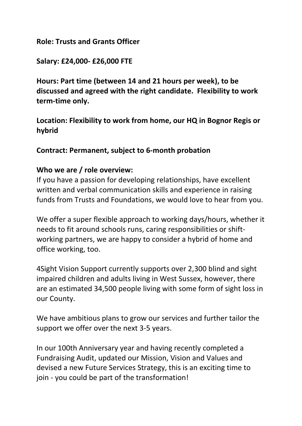#### **Role: Trusts and Grants Officer**

### **Salary: £24,000- £26,000 FTE**

**Hours: Part time (between 14 and 21 hours per week), to be discussed and agreed with the right candidate. Flexibility to work term-time only.**

**Location: Flexibility to work from home, our HQ in Bognor Regis or hybrid**

#### **Contract: Permanent, subject to 6-month probation**

#### **Who we are / role overview:**

If you have a passion for developing relationships, have excellent written and verbal communication skills and experience in raising funds from Trusts and Foundations, we would love to hear from you.

We offer a super flexible approach to working days/hours, whether it needs to fit around schools runs, caring responsibilities or shiftworking partners, we are happy to consider a hybrid of home and office working, too.

4Sight Vision Support currently supports over 2,300 blind and sight impaired children and adults living in West Sussex, however, there are an estimated 34,500 people living with some form of sight loss in our County.

We have ambitious plans to grow our services and further tailor the support we offer over the next 3-5 years.

In our 100th Anniversary year and having recently completed a Fundraising Audit, updated our Mission, Vision and Values and devised a new Future Services Strategy, this is an exciting time to join - you could be part of the transformation!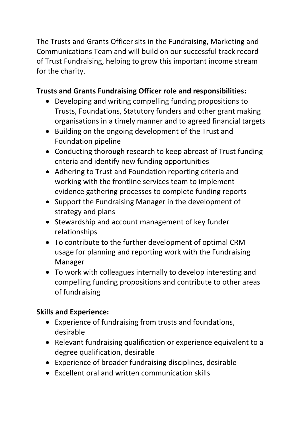The Trusts and Grants Officer sits in the Fundraising, Marketing and Communications Team and will build on our successful track record of Trust Fundraising, helping to grow this important income stream for the charity.

# **Trusts and Grants Fundraising Officer role and responsibilities:**

- Developing and writing compelling funding propositions to Trusts, Foundations, Statutory funders and other grant making organisations in a timely manner and to agreed financial targets
- Building on the ongoing development of the Trust and Foundation pipeline
- Conducting thorough research to keep abreast of Trust funding criteria and identify new funding opportunities
- Adhering to Trust and Foundation reporting criteria and working with the frontline services team to implement evidence gathering processes to complete funding reports
- Support the Fundraising Manager in the development of strategy and plans
- Stewardship and account management of key funder relationships
- To contribute to the further development of optimal CRM usage for planning and reporting work with the Fundraising Manager
- To work with colleagues internally to develop interesting and compelling funding propositions and contribute to other areas of fundraising

## **Skills and Experience:**

- Experience of fundraising from trusts and foundations, desirable
- Relevant fundraising qualification or experience equivalent to a degree qualification, desirable
- Experience of broader fundraising disciplines, desirable
- Excellent oral and written communication skills